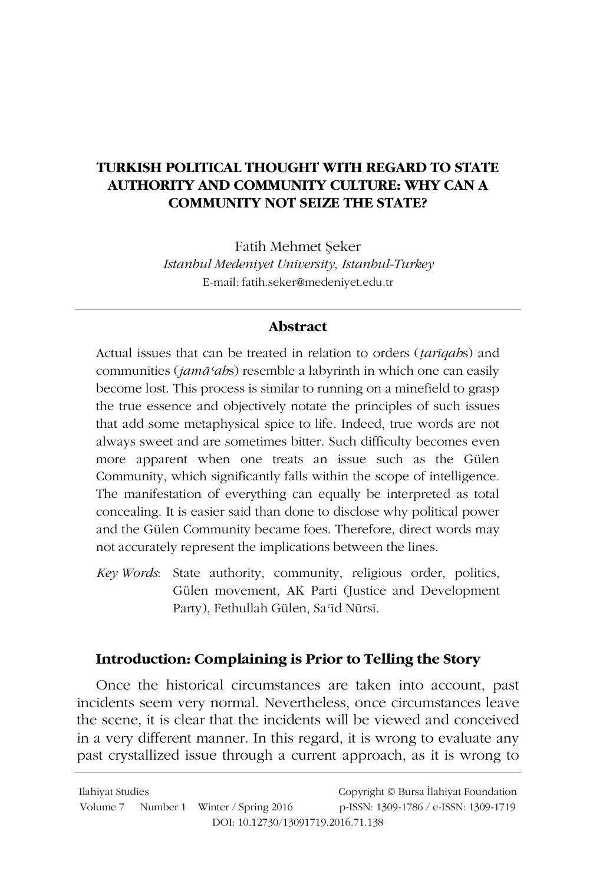# **TURKISH POLITICAL THOUGHT WITH REGARD TO STATE** AUTHORITY AND COMMUNITY CULTURE: WHY CAN A **COMMUNITY NOT SEIZE THE STATE?**

Fatih Mehmet Seker Istanbul Medeniyet University, Istanbul-Turkey E-mail: fatih.seker@medeniyet.edu.tr

## **Abstract**

Actual issues that can be treated in relation to orders (*tarigabs*) and communities (jamā 'abs) resemble a labyrinth in which one can easily become lost. This process is similar to running on a minefield to grasp the true essence and objectively notate the principles of such issues that add some metaphysical spice to life. Indeed, true words are not always sweet and are sometimes bitter. Such difficulty becomes even more apparent when one treats an issue such as the Gülen Community, which significantly falls within the scope of intelligence. The manifestation of everything can equally be interpreted as total concealing. It is easier said than done to disclose why political power and the Gülen Community became foes. Therefore, direct words may not accurately represent the implications between the lines.

Key Words: State authority, community, religious order, politics, Gülen movement, AK Parti (Justice and Development Party), Fethullah Gülen, Sa'īd Nūrsī.

## Introduction: Complaining is Prior to Telling the Story

Once the historical circumstances are taken into account, past incidents seem very normal. Nevertheless, once circumstances leave the scene, it is clear that the incidents will be viewed and conceived in a very different manner. In this regard, it is wrong to evaluate any past crystallized issue through a current approach, as it is wrong to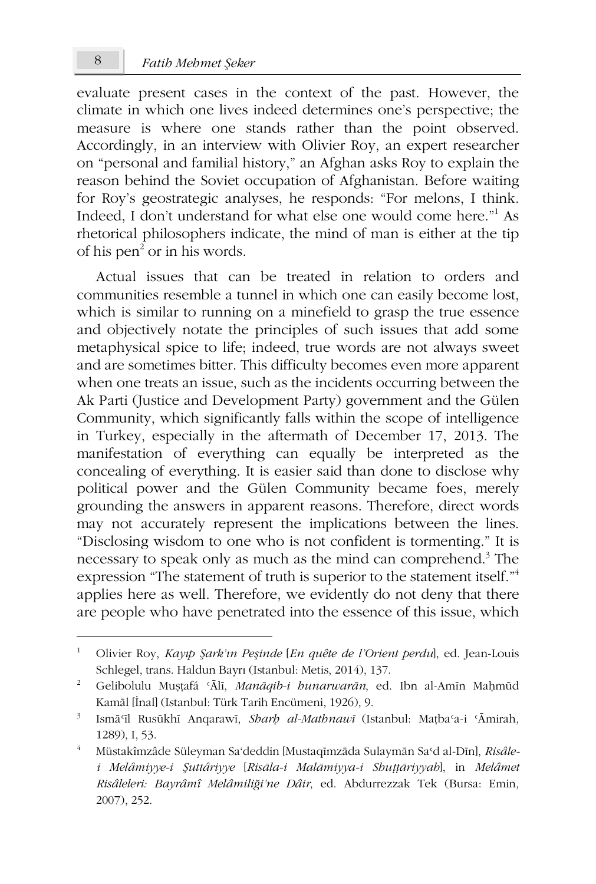8

evaluate present cases in the context of the past. However, the climate in which one lives indeed determines one's perspective; the measure is where one stands rather than the point observed. Accordingly, in an interview with Olivier Roy, an expert researcher on "personal and familial history," an Afghan asks Roy to explain the reason behind the Soviet occupation of Afghanistan. Before waiting for Roy's geostrategic analyses, he responds: "For melons, I think. Indeed, I don't understand for what else one would come here."<sup>1</sup> As rhetorical philosophers indicate, the mind of man is either at the tip of his pen<sup>2</sup> or in his words.

Actual issues that can be treated in relation to orders and communities resemble a tunnel in which one can easily become lost, which is similar to running on a minefield to grasp the true essence and objectively notate the principles of such issues that add some metaphysical spice to life; indeed, true words are not always sweet and are sometimes bitter. This difficulty becomes even more apparent when one treats an issue, such as the incidents occurring between the Ak Parti (Justice and Development Party) government and the Gülen Community, which significantly falls within the scope of intelligence in Turkey, especially in the aftermath of December 17, 2013. The manifestation of everything can equally be interpreted as the concealing of everything. It is easier said than done to disclose why political power and the Gülen Community became foes, merely grounding the answers in apparent reasons. Therefore, direct words may not accurately represent the implications between the lines. "Disclosing wisdom to one who is not confident is tormenting." It is necessary to speak only as much as the mind can comprehend.<sup>3</sup> The expression "The statement of truth is superior to the statement itself."<sup>4</sup> applies here as well. Therefore, we evidently do not deny that there are people who have penetrated into the essence of this issue, which

 $\mathbf{1}$ Olivier Roy, Kayıp Şark'ın Peşinde [En quête de l'Orient perdul, ed. Jean-Louis Schlegel, trans. Haldun Bayrı (Istanbul: Metis, 2014), 137.

 $\overline{2}$ Gelibolulu Mușțafá 'Ālī, Manāqib-i hunarwarān, ed. Ibn al-Amīn Mahmūd Kamāl [İnal] (Istanbul: Türk Tarih Encümeni, 1926), 9.

 $3 -$ Ismā'īl Rusūkhī Anqarawī, Sharh al-Mathnawī (Istanbul: Matha'a-i 'Āmirah, 1289), I, 53.

 $\overline{4}$ Müstakîmzâde Süleyman Sa'deddin [Mustaqīmzāda Sulaymān Sa'd al-Dīn], Risâlei Melâmiyye-i Şuttâriyye [Risāla-i Malāmiyya-i Shuṭṭāriyyah], in Melâmet Risâleleri: Bayrâmî Melâmiliği'ne Dâir, ed. Abdurrezzak Tek (Bursa: Emin, 2007), 252.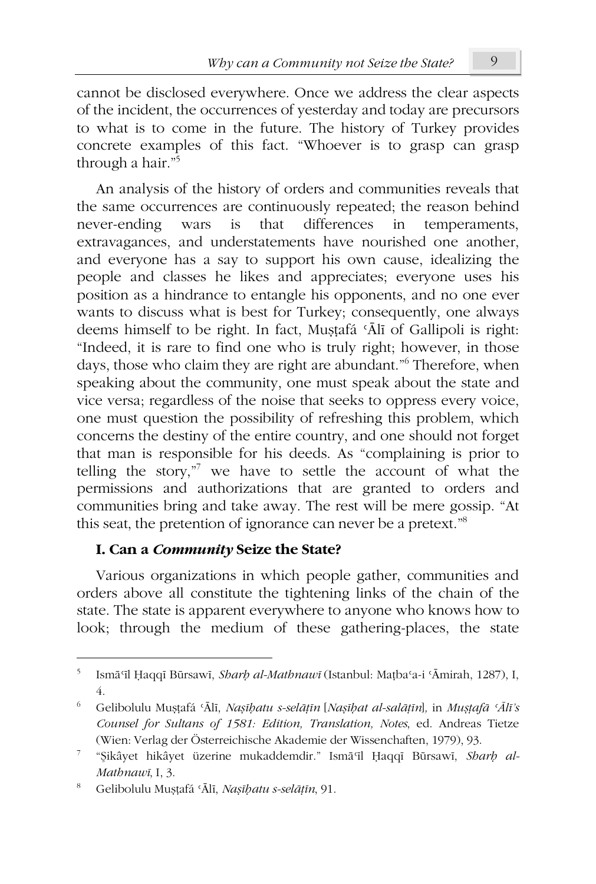cannot be disclosed everywhere. Once we address the clear aspects of the incident, the occurrences of yesterday and today are precursors to what is to come in the future. The history of Turkey provides concrete examples of this fact. "Whoever is to grasp can grasp through a hair."<sup>5</sup>

An analysis of the history of orders and communities reveals that the same occurrences are continuously repeated; the reason behind never-ending that differences in temperaments, wars is extravagances, and understatements have nourished one another, and everyone has a say to support his own cause, idealizing the people and classes he likes and appreciates; everyone uses his position as a hindrance to entangle his opponents, and no one ever wants to discuss what is best for Turkey; consequently, one always deems himself to be right. In fact, Mustafá 'Ālī of Gallipoli is right: "Indeed, it is rare to find one who is truly right; however, in those days, those who claim they are right are abundant." Therefore, when speaking about the community, one must speak about the state and vice versa; regardless of the noise that seeks to oppress every voice, one must question the possibility of refreshing this problem, which concerns the destiny of the entire country, and one should not forget that man is responsible for his deeds. As "complaining is prior to telling the story," we have to settle the account of what the permissions and authorizations that are granted to orders and communities bring and take away. The rest will be mere gossip. "At this seat, the pretention of ignorance can never be a pretext."<sup>8</sup>

#### I. Can a *Community* Seize the State?

Various organizations in which people gather, communities and orders above all constitute the tightening links of the chain of the state. The state is apparent everywhere to anyone who knows how to look; through the medium of these gathering-places, the state

Ismā'īl Haqqī Būrsawī, Sharh al-Mathnawī (Istanbul: Matha'a-i 'Āmirah, 1287), I,  $\overline{4}$ .

 $6<sup>1</sup>$ Gelibolulu Mușțafá 'Ālī, Nașībatu s-selāțīn [Nașībat al-salāțīn], in Mușțafā 'Ālī's Counsel for Sultans of 1581: Edition, Translation, Notes, ed. Andreas Tietze (Wien: Verlag der Österreichische Akademie der Wissenchaften, 1979), 93.

 $\overline{\mathcal{I}}$ "Sikâyet hikâyet üzerine mukaddemdir." Ismā il Haqqī Būrsawī, Sharh al-Mathnawī, I. 3.

Gelibolulu Mușțafá 'Ālī, Nașībatu s-selāțīn, 91.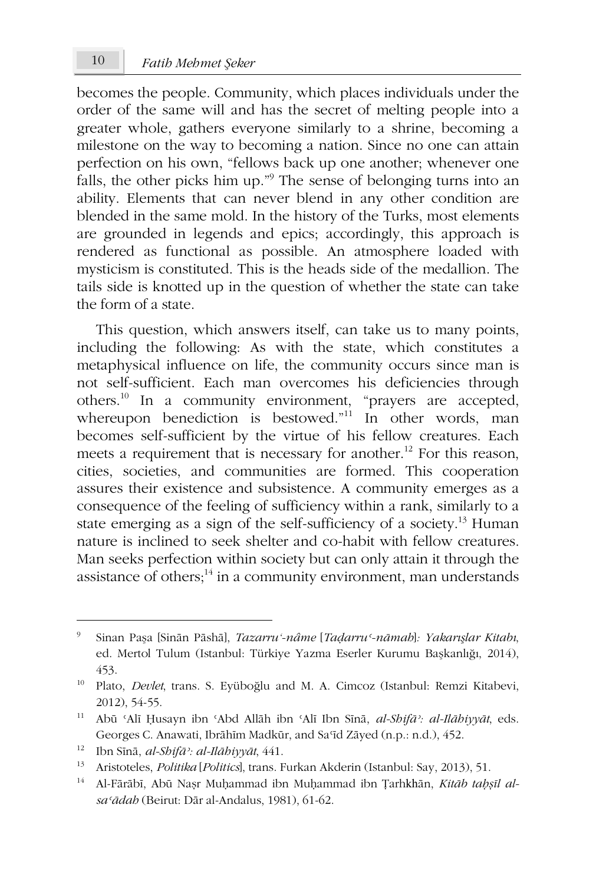becomes the people. Community, which places individuals under the order of the same will and has the secret of melting people into a greater whole, gathers everyone similarly to a shrine, becoming a milestone on the way to becoming a nation. Since no one can attain perfection on his own, "fellows back up one another; whenever one falls, the other picks him up."<sup>9</sup> The sense of belonging turns into an ability. Elements that can never blend in any other condition are blended in the same mold. In the history of the Turks, most elements are grounded in legends and epics; accordingly, this approach is rendered as functional as possible. An atmosphere loaded with mysticism is constituted. This is the heads side of the medallion. The tails side is knotted up in the question of whether the state can take the form of a state.

This question, which answers itself, can take us to many points, including the following: As with the state, which constitutes a metaphysical influence on life, the community occurs since man is not self-sufficient. Each man overcomes his deficiencies through others.<sup>10</sup> In a community environment, "prayers are accepted, whereupon benediction is bestowed."<sup>11</sup> In other words, man becomes self-sufficient by the virtue of his fellow creatures. Each meets a requirement that is necessary for another.<sup>12</sup> For this reason, cities, societies, and communities are formed. This cooperation assures their existence and subsistence. A community emerges as a consequence of the feeling of sufficiency within a rank, similarly to a state emerging as a sign of the self-sufficiency of a society.<sup>13</sup> Human nature is inclined to seek shelter and co-habit with fellow creatures. Man seeks perfection within society but can only attain it through the assistance of others; $^{14}$  in a community environment, man understands

Sinan Paşa [Sinān Pāshā], Tazarru'-nâme [Tadarru'-nāmah]: Yakarışlar Kitabı, ed. Mertol Tulum (Istanbul: Türkiye Yazma Eserler Kurumu Başkanlığı, 2014), 453.

 $10\,$ Plato, Devlet, trans. S. Eyüboğlu and M. A. Cimcoz (Istanbul: Remzi Kitabevi, 2012), 54-55.

 $11 -$ Abū 'Alī Ḥusayn ibn 'Abd Allāh ibn 'Alī Ibn Sīnā, al-Shifā': al-Ilāhiyyāt, eds. Georges C. Anawati, Ibrāhīm Madkūr, and Sa'īd Zāyed (n.p.: n.d.), 452.

 $12\,$ Ibn Sīnā, al-Shifā<sup>2</sup>: al-Ilāhiyyāt, 441.

<sup>13</sup> Aristoteles, Politika [Politics], trans. Furkan Akderin (Istanbul: Say, 2013), 51.

 $14<sup>1</sup>$ Al-Fārābī, Abū Nașr Muhammad ibn Muhammad ibn Țarhkhān, Kitāb tabșīl alsa'ādab (Beirut: Dār al-Andalus, 1981), 61-62.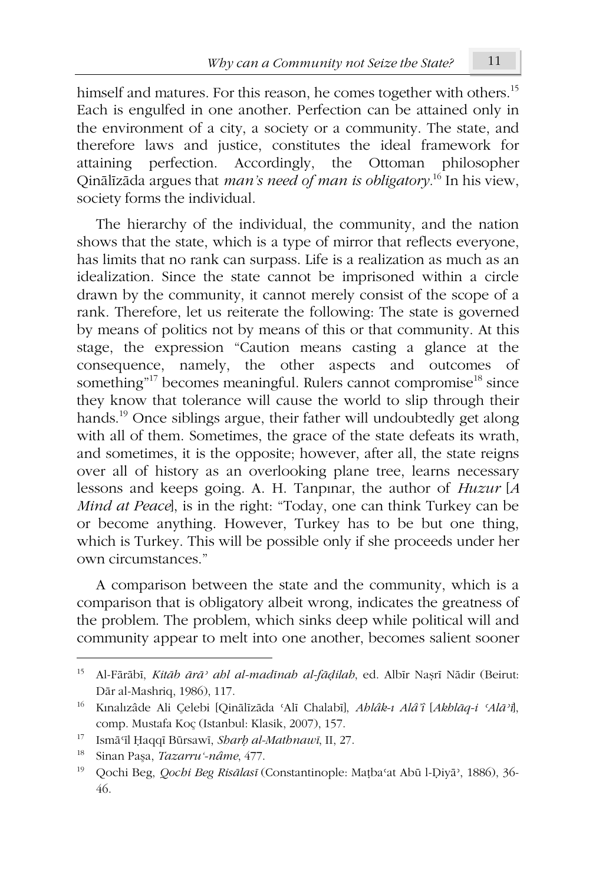himself and matures. For this reason, he comes together with others.<sup>15</sup> Each is engulfed in one another. Perfection can be attained only in the environment of a city, a society or a community. The state, and therefore laws and justice, constitutes the ideal framework for attaining perfection. Accordingly, the Ottoman philosopher Qinālīzāda argues that *man's need of man is obligatory*.<sup>16</sup> In his view, society forms the individual.

The hierarchy of the individual, the community, and the nation shows that the state, which is a type of mirror that reflects everyone, has limits that no rank can surpass. Life is a realization as much as an idealization. Since the state cannot be imprisoned within a circle drawn by the community, it cannot merely consist of the scope of a rank. Therefore, let us reiterate the following: The state is governed by means of politics not by means of this or that community. At this stage, the expression "Caution means casting a glance at the consequence, namely, the other aspects and outcomes of something"<sup>17</sup> becomes meaningful. Rulers cannot compromise<sup>18</sup> since they know that tolerance will cause the world to slip through their hands.<sup>19</sup> Once siblings argue, their father will undoubtedly get along with all of them. Sometimes, the grace of the state defeats its wrath, and sometimes, it is the opposite; however, after all, the state reigns over all of history as an overlooking plane tree, learns necessary lessons and keeps going. A. H. Tanpinar, the author of  $Huzur$  [A Mind at Peacel, is in the right: "Today, one can think Turkey can be or become anything. However, Turkey has to be but one thing, which is Turkey. This will be possible only if she proceeds under her own circumstances."

A comparison between the state and the community, which is a comparison that is obligatory albeit wrong, indicates the greatness of the problem. The problem, which sinks deep while political will and community appear to melt into one another, becomes salient sooner

 $15$ Al-Fārābī, Kitāb ārā<sup>,</sup> ahl al-madīnah al-fādilah, ed. Albīr Nașrī Nādir (Beirut: Dār al-Mashriq, 1986), 117.

<sup>16</sup> Kınalızâde Ali Çelebi [Qinālīzāda 'Alī Chalabī], Ahlâk-ı Alâ'î [Akhlāq-i 'Alā'i], comp. Mustafa Koç (Istanbul: Klasik, 2007), 157.

<sup>17</sup> Ismā'īl Ḥaqqī Būrsawī, Sharh al-Mathnawī, II, 27.

<sup>18</sup> Sinan Paşa, Tazarru'-nâme, 477.

<sup>19</sup> Qochi Beg, Qochi Beg Risālasī (Constantinople: Mațba'at Abū l-Diyā', 1886), 36-46.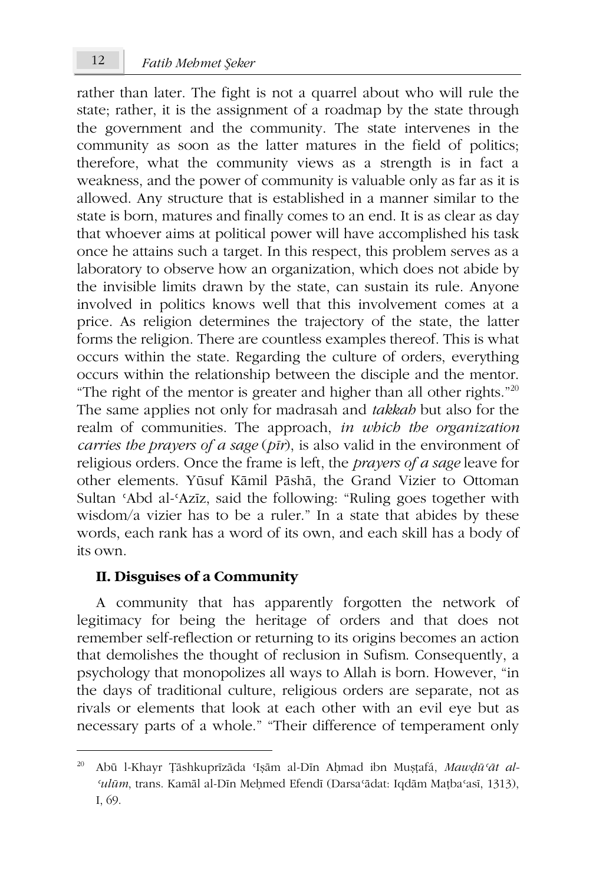rather than later. The fight is not a quarrel about who will rule the state; rather, it is the assignment of a roadmap by the state through the government and the community. The state intervenes in the community as soon as the latter matures in the field of politics; therefore, what the community views as a strength is in fact a weakness, and the power of community is valuable only as far as it is allowed. Any structure that is established in a manner similar to the state is born, matures and finally comes to an end. It is as clear as day that whoever aims at political power will have accomplished his task once he attains such a target. In this respect, this problem serves as a laboratory to observe how an organization, which does not abide by the invisible limits drawn by the state, can sustain its rule. Anyone involved in politics knows well that this involvement comes at a price. As religion determines the trajectory of the state, the latter forms the religion. There are countless examples thereof. This is what occurs within the state. Regarding the culture of orders, everything occurs within the relationship between the disciple and the mentor. "The right of the mentor is greater and higher than all other rights."<sup>20</sup> The same applies not only for madrasah and takkab but also for the realm of communities. The approach, in which the organization carries the prayers of a sage  $(p\bar{i}r)$ , is also valid in the environment of religious orders. Once the frame is left, the *prayers of a sage* leave for other elements. Yūsuf Kāmil Pāshā, the Grand Vizier to Ottoman Sultan 'Abd al-'Azīz, said the following: "Ruling goes together with wisdom/a vizier has to be a ruler." In a state that abides by these words, each rank has a word of its own, and each skill has a body of its own.

#### II. Disguises of a Community

A community that has apparently forgotten the network of legitimacy for being the heritage of orders and that does not remember self-reflection or returning to its origins becomes an action that demolishes the thought of reclusion in Sufism. Consequently, a psychology that monopolizes all ways to Allah is born. However, "in the days of traditional culture, religious orders are separate, not as rivals or elements that look at each other with an evil eye but as necessary parts of a whole." "Their difference of temperament only

12

 $20 -$ Abū l-Khayr Țāshkuprīzāda 'Işām al-Dīn Ahmad ibn Mustafá, Mawdū'āt al-'ulūm, trans. Kamāl al-Dīn Mehmed Efendī (Darsa'ādat: Iqdām Matba'asī, 1313), I, 69.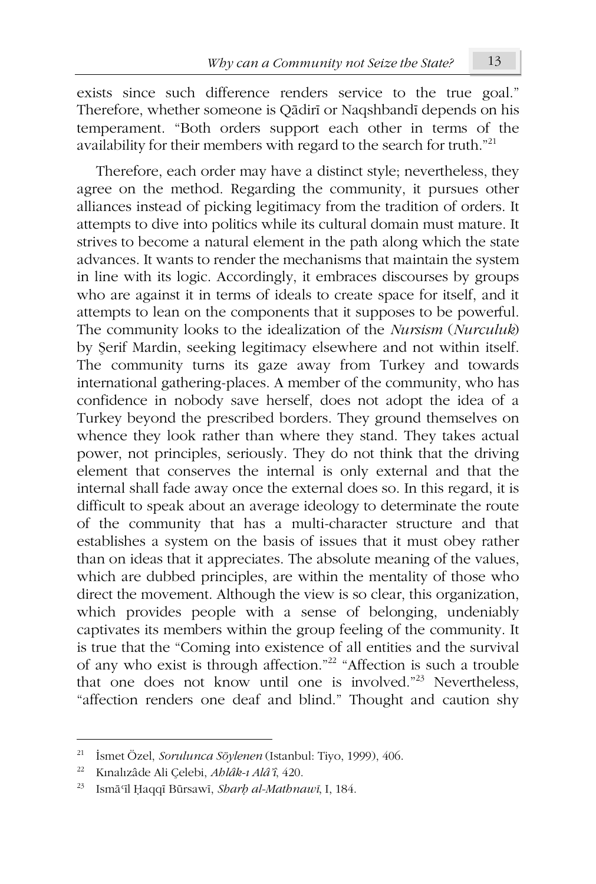exists since such difference renders service to the true goal." Therefore, whether someone is Qādirī or Naqshbandī depends on his temperament. "Both orders support each other in terms of the availability for their members with regard to the search for truth."<sup>21</sup>

Therefore, each order may have a distinct style; nevertheless, they agree on the method. Regarding the community, it pursues other alliances instead of picking legitimacy from the tradition of orders. It attempts to dive into politics while its cultural domain must mature. It strives to become a natural element in the path along which the state advances. It wants to render the mechanisms that maintain the system in line with its logic. Accordingly, it embraces discourses by groups who are against it in terms of ideals to create space for itself, and it attempts to lean on the components that it supposes to be powerful. The community looks to the idealization of the Nursism (Nurculuk) by Serif Mardin, seeking legitimacy elsewhere and not within itself. The community turns its gaze away from Turkey and towards international gathering-places. A member of the community, who has confidence in nobody save herself, does not adopt the idea of a Turkey beyond the prescribed borders. They ground themselves on whence they look rather than where they stand. They takes actual power, not principles, seriously. They do not think that the driving element that conserves the internal is only external and that the internal shall fade away once the external does so. In this regard, it is difficult to speak about an average ideology to determinate the route of the community that has a multi-character structure and that establishes a system on the basis of issues that it must obey rather than on ideas that it appreciates. The absolute meaning of the values, which are dubbed principles, are within the mentality of those who direct the movement. Although the view is so clear, this organization, which provides people with a sense of belonging, undeniably captivates its members within the group feeling of the community. It is true that the "Coming into existence of all entities and the survival of any who exist is through affection."<sup>22</sup> "Affection is such a trouble that one does not know until one is involved."<sup>23</sup> Nevertheless, "affection renders one deaf and blind." Thought and caution shy

 $21$ İsmet Özel, Sorulunca Söylenen (Istanbul: Tiyo, 1999), 406.

<sup>22</sup> Kınalızâde Ali Çelebi, Ahlâk-ı Alâ'î, 420.

<sup>23</sup> Ismā'īl Ḥaqqī Būrsawī, Sharb al-Mathnawī, I, 184.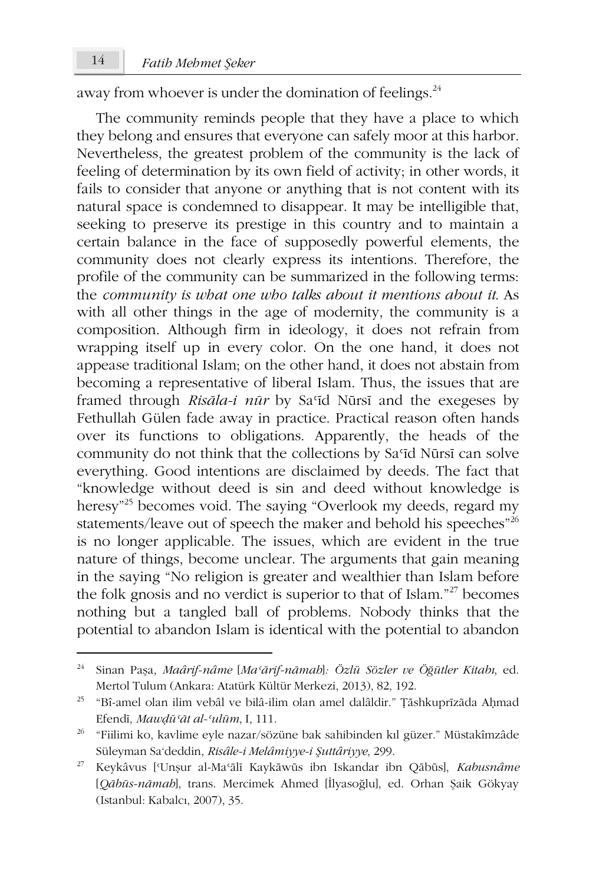away from whoever is under the domination of feelings.<sup>24</sup>

The community reminds people that they have a place to which they belong and ensures that everyone can safely moor at this harbor. Nevertheless, the greatest problem of the community is the lack of feeling of determination by its own field of activity; in other words, it fails to consider that anyone or anything that is not content with its natural space is condemned to disappear. It may be intelligible that, seeking to preserve its prestige in this country and to maintain a certain balance in the face of supposedly powerful elements, the community does not clearly express its intentions. Therefore, the profile of the community can be summarized in the following terms: the community is what one who talks about it mentions about it. As with all other things in the age of modernity, the community is a composition. Although firm in ideology, it does not refrain from wrapping itself up in every color. On the one hand, it does not appease traditional Islam; on the other hand, it does not abstain from becoming a representative of liberal Islam. Thus, the issues that are framed through Risāla-i nūr by Sa'īd Nūrsī and the exegeses by Fethullah Gülen fade away in practice. Practical reason often hands over its functions to obligations. Apparently, the heads of the community do not think that the collections by Sa'id Nūrsī can solve everything. Good intentions are disclaimed by deeds. The fact that "knowledge without deed is sin and deed without knowledge is heresy<sup>35</sup> becomes void. The saying "Overlook my deeds, regard my statements/leave out of speech the maker and behold his speeches"<sup>26</sup> is no longer applicable. The issues, which are evident in the true nature of things, become unclear. The arguments that gain meaning in the saying "No religion is greater and wealthier than Islam before the folk gnosis and no verdict is superior to that of Islam."<sup>27</sup> becomes nothing but a tangled ball of problems. Nobody thinks that the potential to abandon Islam is identical with the potential to abandon

<sup>24</sup> Sinan Paşa, Maârif-nâme [Ma'ārif-nāmah]: Özlü Sözler ve Öğütler Kitabı, ed. Mertol Tulum (Ankara: Atatürk Kültür Merkezi, 2013), 82, 192.

<sup>&</sup>lt;sup>25</sup> "Bî-amel olan ilim vebâl ve bilâ-ilim olan amel dalâldir." Țāshkuprīzāda Aḥmad Efendī, Mawdū'āt al-'ulūm, I, 111.

<sup>&</sup>lt;sup>26</sup> "Fiilimi ko, kavlime eyle nazar/sözüne bak sahibinden kıl güzer." Müstakîmzâde Süleyman Sa'deddin, Risâle-i Melâmiyye-i Şuttâriyye, 299.

 $27\,$ Keykâvus ['Unşur al-Ma'ālī Kaykāwūs ibn Iskandar ibn Qābūs], Kabusnâme [Qābūs-nāmah], trans. Mercimek Ahmed [İlyasoğlu], ed. Orhan Şaik Gökyay (Istanbul: Kabalcı, 2007), 35.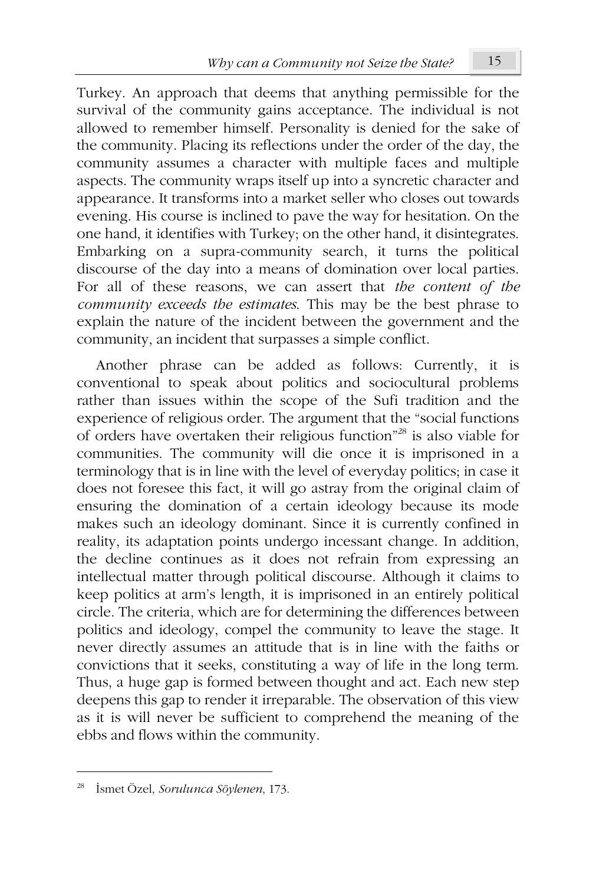Turkey. An approach that deems that anything permissible for the survival of the community gains acceptance. The individual is not allowed to remember himself. Personality is denied for the sake of the community. Placing its reflections under the order of the day, the community assumes a character with multiple faces and multiple aspects. The community wraps itself up into a syncretic character and appearance. It transforms into a market seller who closes out towards evening. His course is inclined to pave the way for hesitation. On the one hand, it identifies with Turkey; on the other hand, it disintegrates. Embarking on a supra-community search, it turns the political discourse of the day into a means of domination over local parties. For all of these reasons, we can assert that the content of the community exceeds the estimates. This may be the best phrase to explain the nature of the incident between the government and the community, an incident that surpasses a simple conflict.

Another phrase can be added as follows: Currently, it is conventional to speak about politics and sociocultural problems rather than issues within the scope of the Sufi tradition and the experience of religious order. The argument that the "social functions" of orders have overtaken their religious function"<sup>28</sup> is also viable for communities. The community will die once it is imprisoned in a terminology that is in line with the level of everyday politics; in case it does not foresee this fact, it will go astray from the original claim of ensuring the domination of a certain ideology because its mode makes such an ideology dominant. Since it is currently confined in reality, its adaptation points undergo incessant change. In addition, the decline continues as it does not refrain from expressing an intellectual matter through political discourse. Although it claims to keep politics at arm's length, it is imprisoned in an entirely political circle. The criteria, which are for determining the differences between politics and ideology, compel the community to leave the stage. It never directly assumes an attitude that is in line with the faiths or convictions that it seeks, constituting a way of life in the long term. Thus, a huge gap is formed between thought and act. Each new step deepens this gap to render it irreparable. The observation of this view as it is will never be sufficient to comprehend the meaning of the ebbs and flows within the community.

<sup>&</sup>lt;sup>28</sup> İsmet Özel, Sorulunca Söylenen, 173.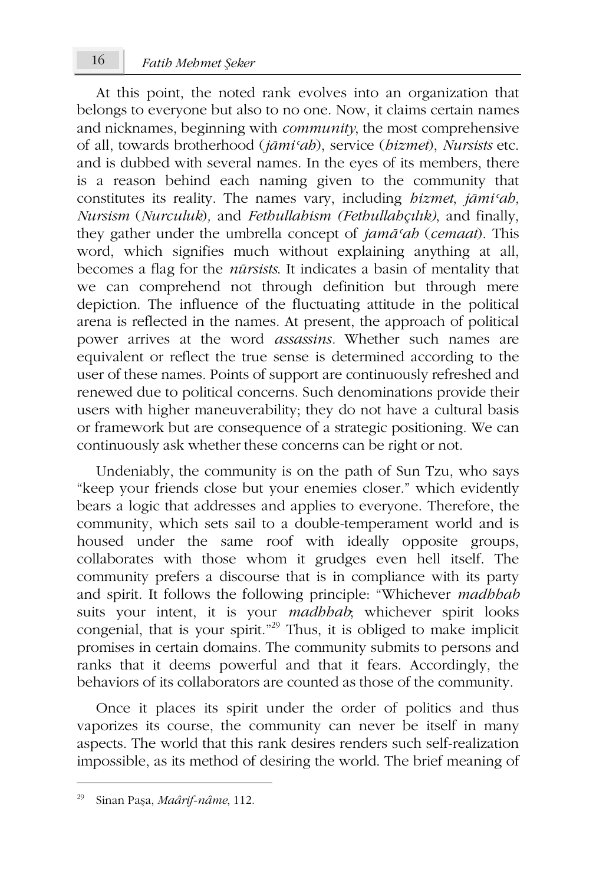At this point, the noted rank evolves into an organization that belongs to everyone but also to no one. Now, it claims certain names and nicknames, beginning with *community*, the most comprehensive of all, towards brotherhood (jāmi'ah), service (hizmet), Nursists etc. and is dubbed with several names. In the eyes of its members, there is a reason behind each naming given to the community that constitutes its reality. The names vary, including *bizmet*, *jāmi'ab*, Nursism (Nurculuk), and Fethullahism (Fethullahculuk), and finally, they gather under the umbrella concept of jamā'ab (cemaat). This word, which signifies much without explaining anything at all, becomes a flag for the *nūrsists*. It indicates a basin of mentality that we can comprehend not through definition but through mere depiction. The influence of the fluctuating attitude in the political arena is reflected in the names. At present, the approach of political power arrives at the word *assassins*. Whether such names are equivalent or reflect the true sense is determined according to the user of these names. Points of support are continuously refreshed and renewed due to political concerns. Such denominations provide their users with higher maneuverability; they do not have a cultural basis or framework but are consequence of a strategic positioning. We can continuously ask whether these concerns can be right or not.

Undeniably, the community is on the path of Sun Tzu, who says "keep your friends close but your enemies closer." which evidently bears a logic that addresses and applies to everyone. Therefore, the community, which sets sail to a double-temperament world and is housed under the same roof with ideally opposite groups, collaborates with those whom it grudges even hell itself. The community prefers a discourse that is in compliance with its party and spirit. It follows the following principle: "Whichever *madbbab* suits your intent, it is your *madbbab*, whichever spirit looks congenial, that is your spirit."<sup>29</sup> Thus, it is obliged to make implicit promises in certain domains. The community submits to persons and ranks that it deems powerful and that it fears. Accordingly, the behaviors of its collaborators are counted as those of the community.

Once it places its spirit under the order of politics and thus vaporizes its course, the community can never be itself in many aspects. The world that this rank desires renders such self-realization impossible, as its method of desiring the world. The brief meaning of

Sinan Paşa, Maârif-nâme, 112.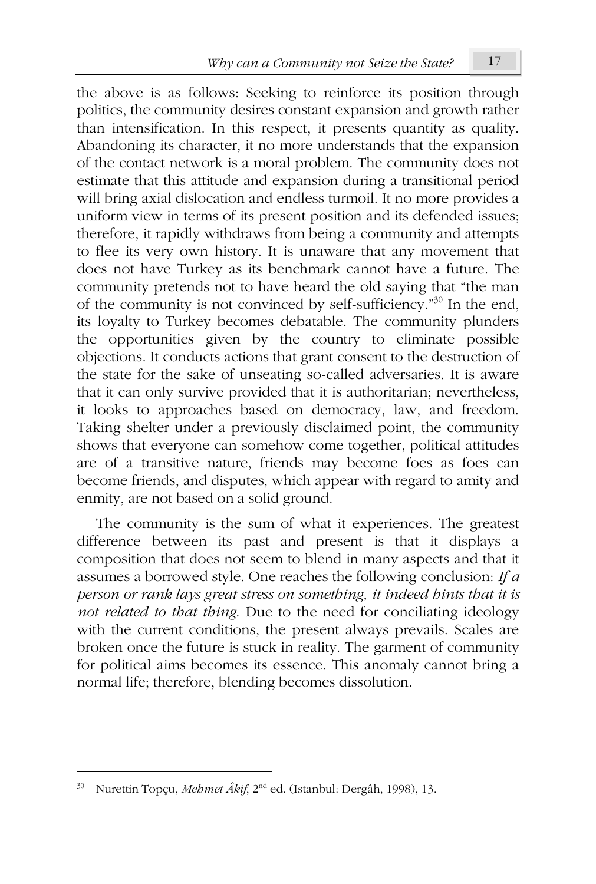the above is as follows: Seeking to reinforce its position through politics, the community desires constant expansion and growth rather than intensification. In this respect, it presents quantity as quality. Abandoning its character, it no more understands that the expansion of the contact network is a moral problem. The community does not estimate that this attitude and expansion during a transitional period will bring axial dislocation and endless turmoil. It no more provides a uniform view in terms of its present position and its defended issues; therefore, it rapidly withdraws from being a community and attempts to flee its very own history. It is unaware that any movement that does not have Turkey as its benchmark cannot have a future. The community pretends not to have heard the old saying that "the man of the community is not convinced by self-sufficiency.<sup> $n30$ </sup> In the end, its loyalty to Turkey becomes debatable. The community plunders the opportunities given by the country to eliminate possible objections. It conducts actions that grant consent to the destruction of the state for the sake of unseating so-called adversaries. It is aware that it can only survive provided that it is authoritarian; nevertheless, it looks to approaches based on democracy, law, and freedom. Taking shelter under a previously disclaimed point, the community shows that everyone can somehow come together, political attitudes are of a transitive nature, friends may become foes as foes can become friends, and disputes, which appear with regard to amity and enmity, are not based on a solid ground.

The community is the sum of what it experiences. The greatest difference between its past and present is that it displays a composition that does not seem to blend in many aspects and that it assumes a borrowed style. One reaches the following conclusion: If  $a$ person or rank lays great stress on something, it indeed hints that it is not related to that thing. Due to the need for conciliating ideology with the current conditions, the present always prevails. Scales are broken once the future is stuck in reality. The garment of community for political aims becomes its essence. This anomaly cannot bring a normal life; therefore, blending becomes dissolution.

<sup>&</sup>lt;sup>30</sup> Nurettin Topçu, *Mehmet Âkif*, 2<sup>nd</sup> ed. (Istanbul: Dergâh, 1998), 13.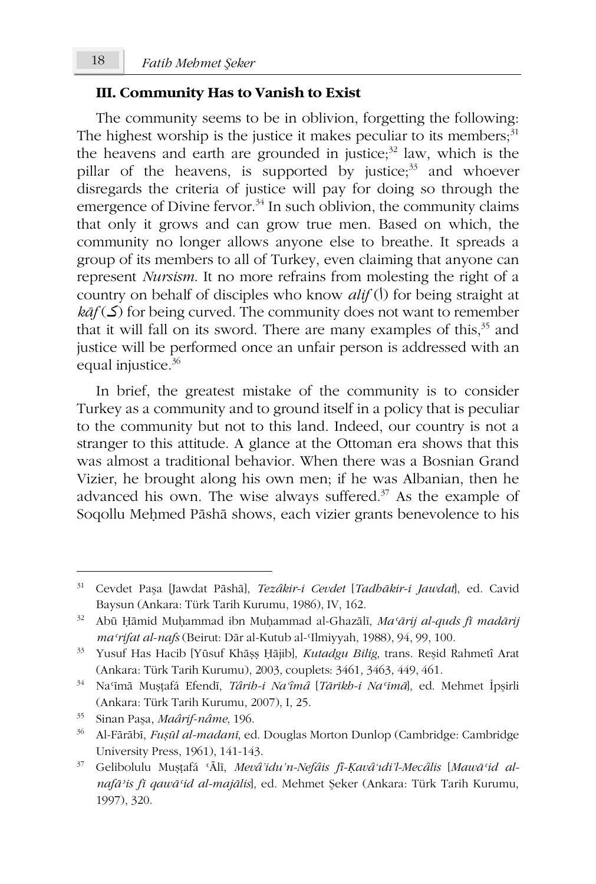## III. Community Has to Vanish to Exist

The community seems to be in oblivion, forgetting the following: The highest worship is the justice it makes peculiar to its members;<sup>31</sup> the heavens and earth are grounded in justice;<sup>32</sup> law, which is the pillar of the heavens, is supported by justice;<sup>33</sup> and whoever disregards the criteria of justice will pay for doing so through the emergence of Divine fervor.<sup>34</sup> In such oblivion, the community claims that only it grows and can grow true men. Based on which, the community no longer allows anyone else to breathe. It spreads a group of its members to all of Turkey, even claiming that anyone can represent *Nursism*. It no more refrains from molesting the right of a country on behalf of disciples who know  $\textit{alif}(I)$  for being straight at  $k\bar{a}f(\mathcal{S})$  for being curved. The community does not want to remember that it will fall on its sword. There are many examples of this,<sup>35</sup> and justice will be performed once an unfair person is addressed with an equal injustice.<sup>36</sup>

In brief, the greatest mistake of the community is to consider Turkey as a community and to ground itself in a policy that is peculiar to the community but not to this land. Indeed, our country is not a stranger to this attitude. A glance at the Ottoman era shows that this was almost a traditional behavior. When there was a Bosnian Grand Vizier, he brought along his own men; if he was Albanian, then he advanced his own. The wise always suffered. $37$  As the example of Sogollu Mehmed Pāshā shows, each vizier grants benevolence to his

 $31\,$ Cevdet Paşa [Jawdat Pāshā], Tezâkir-i Cevdet [Tadhākir-i Jawdat], ed. Cavid Baysun (Ankara: Türk Tarih Kurumu, 1986), IV, 162.

<sup>32</sup> Abū Ḥāmid Muḥammad ibn Muḥammad al-Ghazālī, Ma'ārij al-quds fī madārij ma 'rifat al-nafs (Beirut: Dār al-Kutub al-'Ilmiyyah, 1988), 94, 99, 100.

<sup>33</sup> Yusuf Has Hacib [Yūsuf Khāșș Ḥājib], Kutadgu Bilig, trans. Reșid Rahmetî Arat (Ankara: Türk Tarih Kurumu), 2003, couplets: 3461, 3463, 449, 461.

 $34 -$ Na'imā Mustafá Efendī, Târib-i Na'îmâ [Tārīkb-i Na'īmā], ed. Mehmet İpsirli (Ankara: Türk Tarih Kurumu, 2007), I, 25.

<sup>35</sup> Sinan Paşa, Maârif-nâme, 196.

<sup>36</sup> Al-Fārābī, Fușūl al-madanī, ed. Douglas Morton Dunlop (Cambridge: Cambridge University Press, 1961), 141-143.

 $37<sub>2</sub>$ Gelibolulu Mușțafá 'Ālī, Mevâ'idu'n-Nefâis fî-Kavâ'ıdi'l-Mecâlis [Mawā'id alnafā'is fī qawā'id al-majālis, ed. Mehmet Şeker (Ankara: Türk Tarih Kurumu, 1997), 320.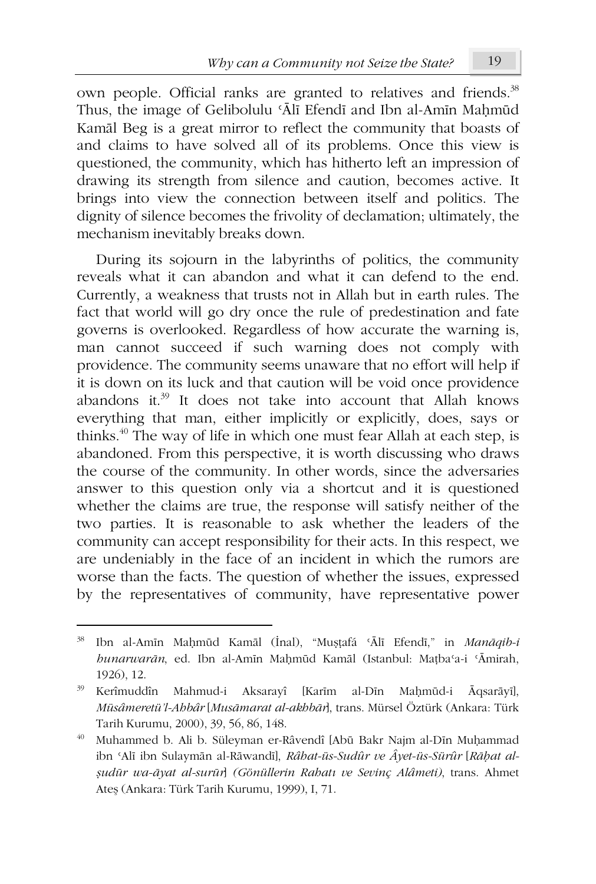own people. Official ranks are granted to relatives and friends.<sup>38</sup> Thus, the image of Gelibolulu 'Alī Efendī and Ibn al-Amīn Mahmūd Kamāl Beg is a great mirror to reflect the community that boasts of and claims to have solved all of its problems. Once this view is questioned, the community, which has hitherto left an impression of drawing its strength from silence and caution, becomes active. It brings into view the connection between itself and politics. The dignity of silence becomes the frivolity of declamation; ultimately, the mechanism inevitably breaks down.

During its sojourn in the labyrinths of politics, the community reveals what it can abandon and what it can defend to the end. Currently, a weakness that trusts not in Allah but in earth rules. The fact that world will go dry once the rule of predestination and fate governs is overlooked. Regardless of how accurate the warning is, man cannot succeed if such warning does not comply with providence. The community seems unaware that no effort will help if it is down on its luck and that caution will be void once providence abandons it.<sup>39</sup> It does not take into account that Allah knows everything that man, either implicitly or explicitly, does, says or thinks.<sup>40</sup> The way of life in which one must fear Allah at each step, is abandoned. From this perspective, it is worth discussing who draws the course of the community. In other words, since the adversaries answer to this question only via a shortcut and it is questioned whether the claims are true, the response will satisfy neither of the two parties. It is reasonable to ask whether the leaders of the community can accept responsibility for their acts. In this respect, we are undeniably in the face of an incident in which the rumors are worse than the facts. The question of whether the issues, expressed by the representatives of community, have representative power

Ibn al-Amīn Maḥmūd Kamāl (İnal), "Muṣṭafá 'Ālī Efendī," in Manāqib-i hunarwarān, ed. Ibn al-Amīn Mahmūd Kamāl (Istanbul: Mațba'a-i 'Āmirah, 1926), 12.

<sup>39</sup> Kerîmuddîn Mahmud-i Aksarayî [Karīm al-Dīn Mahmūd-i Āqsarāyī], Müsâmeretü'l-Ahbâr [Musāmarat al-akhbār], trans. Mürsel Öztürk (Ankara: Türk Tarih Kurumu, 2000), 39, 56, 86, 148.

Muhammed b. Ali b. Süleyman er-Râvendî [Abū Bakr Najm al-Dīn Muḥammad ibn 'Alī ibn Sulaymān al-Rāwandī], Râhat-üs-Sudûr ve Âyet-üs-Sürûr [Rāhat alşudūr wa-āyat al-surūr] (Gönüllerin Rabatı ve Sevinç Alâmeti), trans. Ahmet Ateş (Ankara: Türk Tarih Kurumu, 1999), I, 71.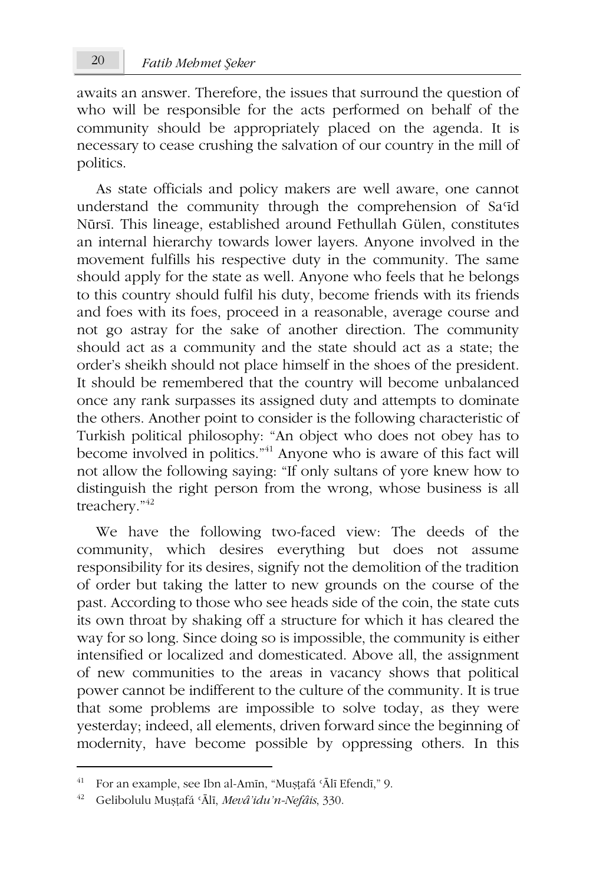awaits an answer. Therefore, the issues that surround the question of who will be responsible for the acts performed on behalf of the community should be appropriately placed on the agenda. It is necessary to cease crushing the salvation of our country in the mill of politics.

As state officials and policy makers are well aware, one cannot understand the community through the comprehension of Sa'id Nūrsī. This lineage, established around Fethullah Gülen, constitutes an internal hierarchy towards lower layers. Anyone involved in the movement fulfills his respective duty in the community. The same should apply for the state as well. Anyone who feels that he belongs to this country should fulfil his duty, become friends with its friends and foes with its foes, proceed in a reasonable, average course and not go astray for the sake of another direction. The community should act as a community and the state should act as a state; the order's sheikh should not place himself in the shoes of the president. It should be remembered that the country will become unbalanced once any rank surpasses its assigned duty and attempts to dominate the others. Another point to consider is the following characteristic of Turkish political philosophy: "An object who does not obey has to become involved in politics."<sup>41</sup> Anyone who is aware of this fact will not allow the following saying: "If only sultans of yore knew how to distinguish the right person from the wrong, whose business is all treachery."<sup>42</sup>

We have the following two-faced view: The deeds of the community, which desires everything but does not assume responsibility for its desires, signify not the demolition of the tradition of order but taking the latter to new grounds on the course of the past. According to those who see heads side of the coin, the state cuts its own throat by shaking off a structure for which it has cleared the way for so long. Since doing so is impossible, the community is either intensified or localized and domesticated. Above all, the assignment of new communities to the areas in vacancy shows that political power cannot be indifferent to the culture of the community. It is true that some problems are impossible to solve today, as they were yesterday; indeed, all elements, driven forward since the beginning of modernity, have become possible by oppressing others. In this

<sup>&</sup>lt;sup>41</sup> For an example, see Ibn al-Amin, "Muștafá 'Ālī Efendī," 9.

<sup>&</sup>lt;sup>42</sup> Gelibolulu Mușțafá 'Ālī, Mevâ'idu'n-Nefâis, 330.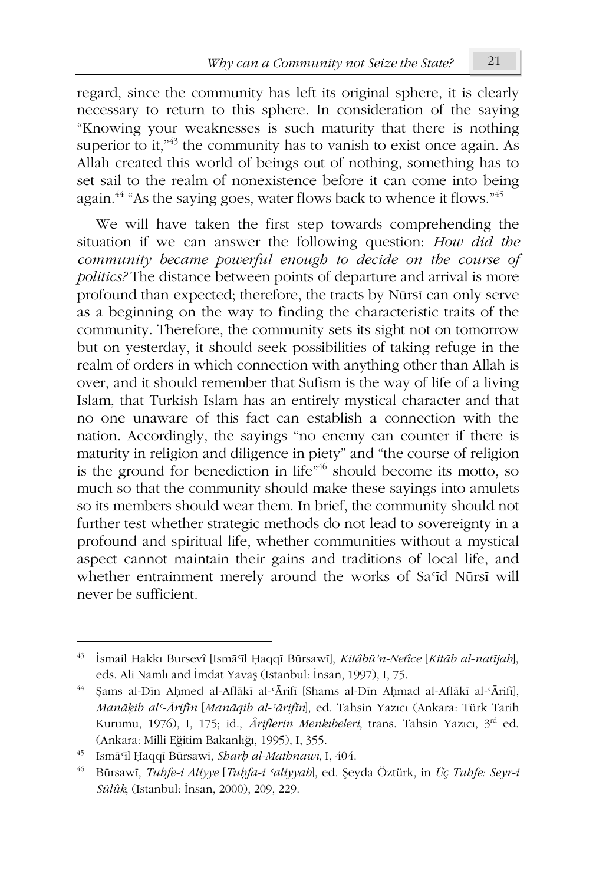regard, since the community has left its original sphere, it is clearly necessary to return to this sphere. In consideration of the saving "Knowing your weaknesses is such maturity that there is nothing superior to it,<sup> $n43$ </sup> the community has to vanish to exist once again. As Allah created this world of beings out of nothing, something has to set sail to the realm of nonexistence before it can come into being again.<sup>44</sup> "As the saying goes, water flows back to whence it flows."<sup>45</sup>

We will have taken the first step towards comprehending the situation if we can answer the following question: How did the community became powerful enough to decide on the course of politics? The distance between points of departure and arrival is more profound than expected; therefore, the tracts by Nūrsī can only serve as a beginning on the way to finding the characteristic traits of the community. Therefore, the community sets its sight not on tomorrow but on yesterday, it should seek possibilities of taking refuge in the realm of orders in which connection with anything other than Allah is over, and it should remember that Sufism is the way of life of a living Islam, that Turkish Islam has an entirely mystical character and that no one unaware of this fact can establish a connection with the nation. Accordingly, the sayings "no enemy can counter if there is maturity in religion and diligence in piety" and "the course of religion is the ground for benediction in life"<sup>46</sup> should become its motto, so much so that the community should make these sayings into amulets so its members should wear them. In brief, the community should not further test whether strategic methods do not lead to sovereignty in a profound and spiritual life, whether communities without a mystical aspect cannot maintain their gains and traditions of local life, and whether entrainment merely around the works of Sa'id Nūrsī will never be sufficient.

<sup>43</sup> İsmail Hakkı Bursevî [Ismā'īl Ḥaqqī Būrsawī], Kitâbü'n-Netîce [Kitāb al-natījab], eds. Ali Namlı and İmdat Yavaş (Istanbul: İnsan, 1997), I, 75.

 $44-$ Sams al-Dīn Ahmed al-Aflākī al-'Ārifī [Shams al-Dīn Ahmad al-Aflākī al-'Ārifī], Manāķib al'-Ārifīn [Manāqib al-'ārifīn], ed. Tahsin Yazıcı (Ankara: Türk Tarih Kurumu, 1976), I, 175; id., *Âriflerin Menkibeleri*, trans. Tahsin Yazıcı, 3<sup>rd</sup> ed. (Ankara: Milli Eğitim Bakanlığı, 1995), I, 355.

Ismā'īl Haqqī Būrsawī, Sharh al-Mathnawī, I, 404.

<sup>46</sup> Būrsawī, Tuhfe-i Aliyye [Tuhfa-i 'aliyyah], ed. Şeyda Öztürk, in Üç Tuhfe: Seyr-i Sülûk, (Istanbul: İnsan, 2000), 209, 229.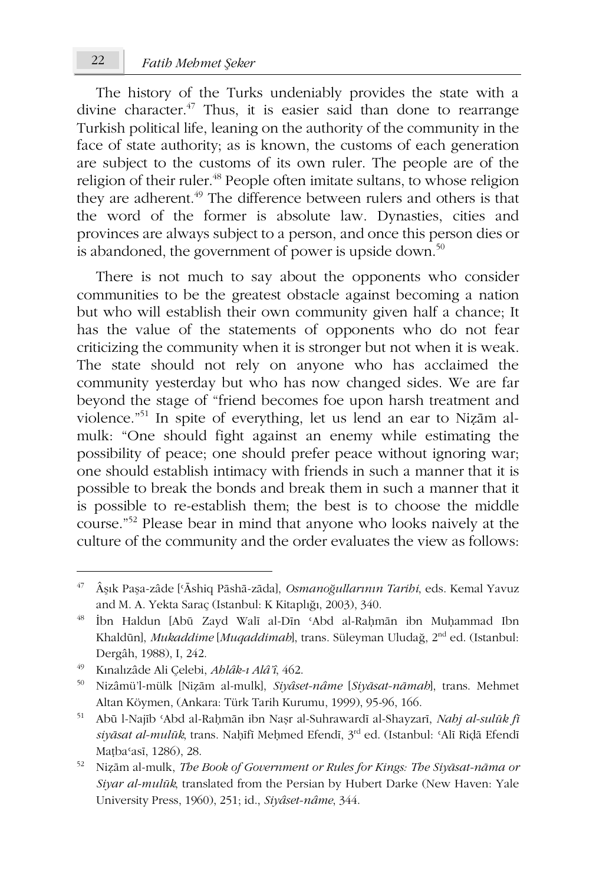The history of the Turks undeniably provides the state with a divine character.<sup>47</sup> Thus, it is easier said than done to rearrange Turkish political life, leaning on the authority of the community in the face of state authority; as is known, the customs of each generation are subject to the customs of its own ruler. The people are of the religion of their ruler.<sup>48</sup> People often imitate sultans, to whose religion they are adherent.<sup>49</sup> The difference between rulers and others is that the word of the former is absolute law. Dynasties, cities and provinces are always subject to a person, and once this person dies or is abandoned, the government of power is upside down.<sup>50</sup>

There is not much to say about the opponents who consider communities to be the greatest obstacle against becoming a nation but who will establish their own community given half a chance; It has the value of the statements of opponents who do not fear criticizing the community when it is stronger but not when it is weak. The state should not rely on anyone who has acclaimed the community yesterday but who has now changed sides. We are far beyond the stage of "friend becomes foe upon harsh treatment and violence."<sup>51</sup> In spite of everything, let us lend an ear to Nizām almulk: "One should fight against an enemy while estimating the possibility of peace; one should prefer peace without ignoring war; one should establish intimacy with friends in such a manner that it is possible to break the bonds and break them in such a manner that it is possible to re-establish them; the best is to choose the middle course."<sup>52</sup> Please bear in mind that anyone who looks naively at the culture of the community and the order evaluates the view as follows:

<sup>47</sup> Âşık Paşa-zâde ['Āshiq Pāshā-zāda], Osmanoğullarının Tarihi, eds. Kemal Yavuz and M. A. Yekta Saraç (Istanbul: K Kitaplığı, 2003), 340.

<sup>48</sup> İbn Haldun [Abū Zayd Walī al-Dīn 'Abd al-Rahmān ibn Muhammad Ibn Khaldūn], Mukaddime [Muqaddimah], trans. Süleyman Uludağ, 2<sup>nd</sup> ed. (Istanbul: Dergâh, 1988), I, 242.

<sup>49</sup> Kınalızâde Ali Çelebi, Ahlâk-ı Alâ'î, 462.

<sup>50</sup> Nizâmü'l-mülk [Nizām al-mulk], Siyâset-nâme [Siyāsat-nāmah], trans. Mehmet Altan Köymen, (Ankara: Türk Tarih Kurumu, 1999), 95-96, 166.

 $51$ Abū l-Najīb 'Abd al-Rahmān ibn Nașr al-Suhrawardī al-Shayzarī, Nahj al-sulūk fī siyāsat al-mulūk, trans. Naḥīfī Meḥmed Efendī, 3rd ed. (Istanbul: 'Alī Riḍā Efendī Mațba'asī, 1286), 28.

<sup>52</sup> Nizām al-mulk, The Book of Government or Rules for Kings: The Siyāsat-nāma or Siyar al-mulūk, translated from the Persian by Hubert Darke (New Haven: Yale University Press, 1960), 251; id., Siyâset-nâme, 344.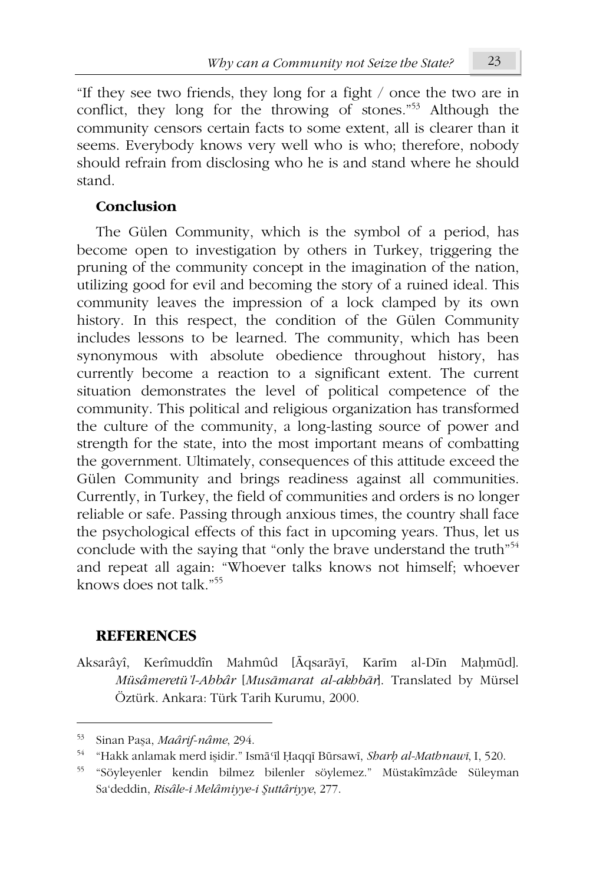"If they see two friends, they long for a fight / once the two are in conflict, they long for the throwing of stones."<sup>53</sup> Although the community censors certain facts to some extent, all is clearer than it seems. Everybody knows very well who is who; therefore, nobody should refrain from disclosing who he is and stand where he should stand.

## Conclusion

The Gülen Community, which is the symbol of a period, has become open to investigation by others in Turkey, triggering the pruning of the community concept in the imagination of the nation, utilizing good for evil and becoming the story of a ruined ideal. This community leaves the impression of a lock clamped by its own history. In this respect, the condition of the Gülen Community includes lessons to be learned. The community, which has been synonymous with absolute obedience throughout history, has currently become a reaction to a significant extent. The current situation demonstrates the level of political competence of the community. This political and religious organization has transformed the culture of the community, a long-lasting source of power and strength for the state, into the most important means of combatting the government. Ultimately, consequences of this attitude exceed the Gülen Community and brings readiness against all communities. Currently, in Turkey, the field of communities and orders is no longer reliable or safe. Passing through anxious times, the country shall face the psychological effects of this fact in upcoming years. Thus, let us conclude with the saying that "only the brave understand the truth"<sup>54</sup> and repeat all again: "Whoever talks knows not himself; whoever knows does not talk."<sup>55</sup>

## **REFERENCES**

Aksarâyî, Kerîmuddîn Mahmûd [Āqsarāyī, Karīm al-Dīn Mahmūd]. Müsâmeretü'l-Abbâr [Musāmarat al-akbbār]. Translated by Mürsel Öztürk. Ankara: Türk Tarih Kurumu, 2000.

<sup>53</sup> Sinan Paşa, Maârif-nâme, 294.

<sup>54</sup> "Hakk anlamak merd işidir." Ismā il Haqqī Būrsawī, Sharh al-Mathnawī, I, 520.

<sup>55</sup> "Söyleyenler kendin bilmez bilenler söylemez." Müstakîmzâde Süleyman Sa'deddin, Risâle-i Melâmiyye-i Şuttâriyye, 277.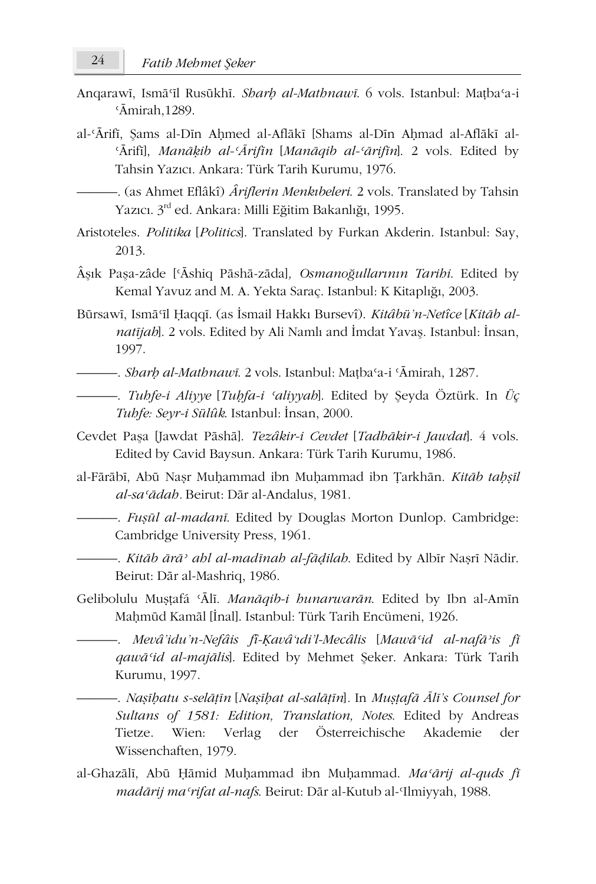- Angarawī, Ismā il Rusūkhī. Sharh al-Mathnawī. 6 vols. Istanbul: Matba a-i  $\overline{A}$ mirah. 1289.
- al-'Ārifī, Sams al-Dīn Ahmed al-Aflākī [Shams al-Dīn Ahmad al-Aflākī al-'Ārifī], Manāķib al-'Ārifīn [Manāqib al-'ārifīn]. 2 vols. Edited by Tahsin Yazıcı. Ankara: Türk Tarih Kurumu, 1976.

-. (as Ahmet Eflâkî) *Âriflerin Menkibeleri*. 2 vols. Translated by Tahsin Yazıcı. 3rd ed. Ankara: Milli Eğitim Bakanlığı, 1995.

- Aristoteles. Politika [Politics]. Translated by Furkan Akderin. Istanbul: Say, 2013.
- Âsık Pasa-zâde ['Āshiq Pāshā-zāda], Osmanoğullarının Taribi. Edited by Kemal Yavuz and M. A. Yekta Saraç. Istanbul: K Kitaplığı, 2003.
- Būrsawī, Ismāʿīl Ḥaqqī. (as İsmail Hakkı Bursevî). *Kitâbü'n-Netîce* [*Kitāb alnatijab*]. 2 vols. Edited by Ali Namlı and İmdat Yavaş. Istanbul: İnsan, 1997.
- 
- Tubfe-i Aliyye [Tubfa-i 'aliyyab]. Edited by Şeyda Öztürk. In Üç Tubfe: Seyr-i Sülûk. Istanbul: İnsan, 2000.
- Cevdet Paşa [Jawdat Pāshā]. Tezâkir-i Cevdet [Tadhākir-i Jawdat]. 4 vols. Edited by Cavid Baysun. Ankara: Türk Tarih Kurumu, 1986.
- al-Fārābī, Abū Nasr Muhammad ibn Muhammad ibn Tarkhān. Kitāb tahsīl al-sa'ādab. Beirut: Dār al-Andalus. 1981.
	- Fușul al-madani. Edited by Douglas Morton Dunlop. Cambridge: Cambridge University Press, 1961.
	- Kitāb ārā<sup>,</sup> ahl al-madīnah al-fādilah. Edited by Albīr Nașrī Nādir. Beirut: Dār al-Mashriq, 1986.
- Gelibolulu Mușțafá 'Ālī. Manāqib-i hunarwarān. Edited by Ibn al-Amīn Mahmūd Kamāl [İnal]. Istanbul: Türk Tarih Encümeni, 1926.
	- –. Mevâ'idu'n-Nefâis fî-Ķavâ'ıdi'l-Mecâlis [Mawā'id al-nafā'is fī qawā 'id al-majālis]. Edited by Mehmet Şeker. Ankara: Türk Tarih Kurumu, 1997.
	- –. Nașibatu s-selāțin [Nașibat al-salāțin]. In Muștafā Ālī's Counsel for Sultans of 1581: Edition, Translation, Notes. Edited by Andreas Wien: Verlag der Österreichische Tietze. Akademie der Wissenchaften, 1979.
- al-Ghazālī, Abū Ḥāmid Muḥammad ibn Muḥammad. Ma'ārij al-quds fī madārij maʻrifat al-nafs. Beirut: Dār al-Kutub al-Ilmiyyah, 1988.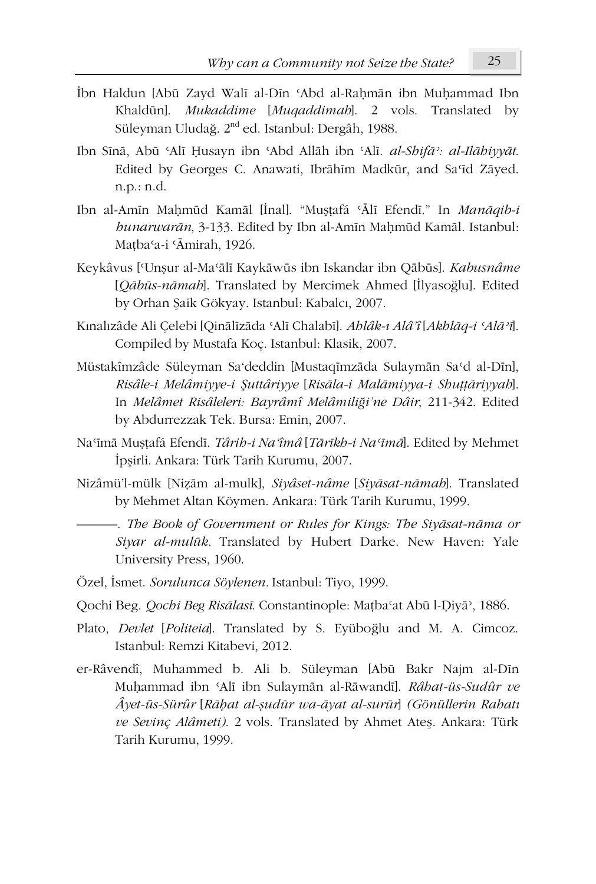- İbn Haldun [Abū Zayd Walī al-Dīn 'Abd al-Rahmān ibn Muhammad Ibn Khaldūn]. Mukaddime [Muqaddimah]. 2 vols. Translated by Süleyman Uludağ. 2<sup>nd</sup> ed. Istanbul: Dergâh, 1988.
- Ibn Sīnā, Abū 'Alī Ḥusayn ibn 'Abd Allāh ibn 'Alī. al-Shifā': al-Ilāhiyyāt. Edited by Georges C. Anawati, Ibrāhīm Madkūr, and Sa'īd Zāyed.  $n.p.: n.d.$
- Ibn al-Amin Mahmūd Kamāl [İnal]. "Muştafá 'Ālī Efendī." In Manāqib-i bunarwarān, 3-133. Edited by Ibn al-Amīn Maḥmūd Kamāl. Istanbul: Matba'a-i 'Āmirah, 1926.
- Keykâvus ['Unsur al-Ma'ālī Kaykāwūs ibn Iskandar ibn Qābūs]. Kabusnâme [Qābūs-nāmah]. Translated by Mercimek Ahmed [İlyasoğlu]. Edited by Orhan Şaik Gökyay. Istanbul: Kabalcı, 2007.
- Kınalızâde Ali Celebi [Oinālīzāda ʿAlī Chalabī]. *Ablâk-ı Alâ'î* [Akblāq-i ʿAlā'ī]. Compiled by Mustafa Koç. Istanbul: Klasik, 2007.
- Müstakîmzâde Süleyman Sa'deddin [Mustaqīmzāda Sulaymān Sa'd al-Dīn], Risâle-i Melâmiyye-i Şuttâriyye [Risāla-i Malāmiyya-i Shuttāriyyah]. In Melâmet Risâleleri: Bayrâmî Melâmiliği'ne Dâir, 211-342. Edited by Abdurrezzak Tek. Bursa: Emin, 2007.
- Na'imā Mușțafá Efendi. Târib-i Na'îmâ [Tārīkb-i Na'īmā]. Edited by Mehmet İpsirli, Ankara: Türk Tarih Kurumu, 2007.
- Nizâmü'l-mülk [Nizām al-mulk], Siyâset-nâme [Siyāsat-nāmah]. Translated by Mehmet Altan Köymen. Ankara: Türk Tarih Kurumu, 1999.
	- The Book of Government or Rules for Kings: The Siyāsat-nāma or Siyar al-mulūk. Translated by Hubert Darke. New Haven: Yale University Press, 1960.
- Özel, İsmet. Sorulunca Söylenen. Istanbul: Tiyo, 1999.
- Qochi Beg. Qochi Beg Risālasī. Constantinople: Mațba'at Abū l-Diyā', 1886.
- Plato, Devlet [Politeia]. Translated by S. Eyüboğlu and M. A. Cimcoz. Istanbul: Remzi Kitabevi, 2012.
- er-Râvendî, Muhammed b. Ali b. Süleyman [Abū Bakr Najm al-Dīn Muhammad ibn 'Alī ibn Sulaymān al-Rāwandī]. Râbat-üs-Sudûr ve Âyet-üs-Sürûr [Rāḥat al-şudūr wa-āyat al-surūr] (Gönüllerin Rahatı ve Sevinç Alâmeti). 2 vols. Translated by Ahmet Ateş. Ankara: Türk Tarih Kurumu, 1999.